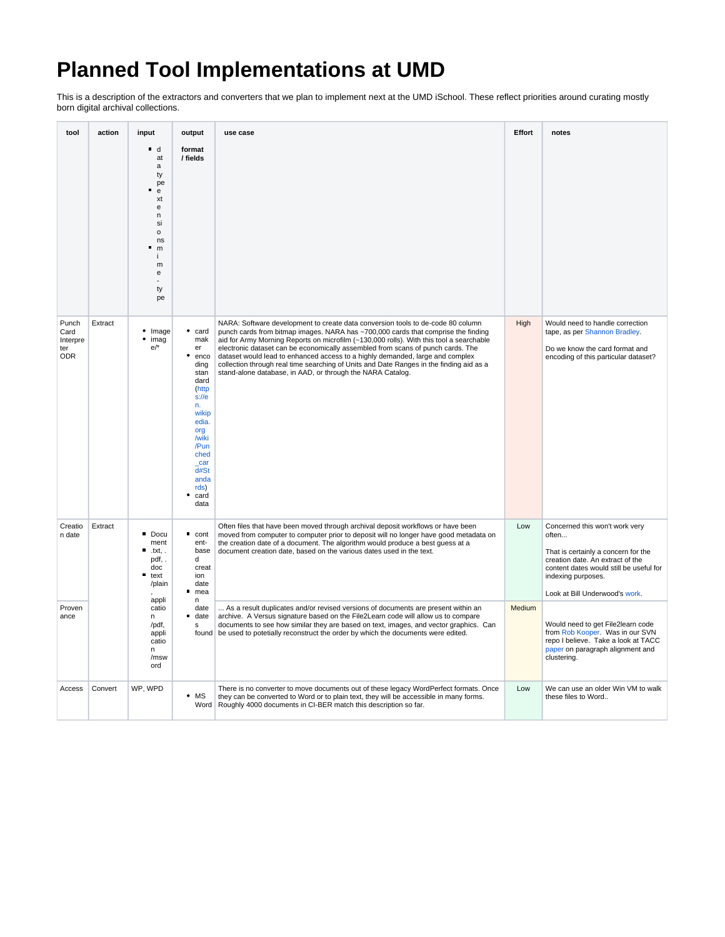## **Planned Tool Implementations at UMD**

This is a description of the extractors and converters that we plan to implement next at the UMD iSchool. These reflect priorities around curating mostly born digital archival collections.

| tool                                           | action  | input                                                                                                                                            | output                                                                                                                                                                           | use case                                                                                                                                                                                                                                                                                                                                                                                                                                                                                                                                                                                     | Effort | notes                                                                                                                                                                                                                 |
|------------------------------------------------|---------|--------------------------------------------------------------------------------------------------------------------------------------------------|----------------------------------------------------------------------------------------------------------------------------------------------------------------------------------|----------------------------------------------------------------------------------------------------------------------------------------------------------------------------------------------------------------------------------------------------------------------------------------------------------------------------------------------------------------------------------------------------------------------------------------------------------------------------------------------------------------------------------------------------------------------------------------------|--------|-----------------------------------------------------------------------------------------------------------------------------------------------------------------------------------------------------------------------|
|                                                |         | ∎ d<br>at<br>a<br>ty<br>pe<br>e<br>xt<br>e<br>n<br>si<br>$\mathsf{o}$<br>ns<br>m<br>m<br>e<br>ty<br>pe                                           | format<br>/ fields                                                                                                                                                               |                                                                                                                                                                                                                                                                                                                                                                                                                                                                                                                                                                                              |        |                                                                                                                                                                                                                       |
| Punch<br>Card<br>Interpre<br>ter<br><b>ODR</b> | Extract | • Image<br>$•$ imag<br>e/                                                                                                                        | card<br>mak<br>er<br>enco<br>ding<br>stan<br>dard<br>(http<br>$s$ :// $e$<br>n.<br>wikip<br>edia.<br>org<br>/wiki<br>/Pun<br>ched<br>car<br>d#St<br>anda<br>rds)<br>card<br>data | NARA: Software development to create data conversion tools to de-code 80 column<br>punch cards from bitmap images. NARA has ~700,000 cards that comprise the finding<br>aid for Army Morning Reports on microfilm (~130,000 rolls). With this tool a searchable<br>electronic dataset can be economically assembled from scans of punch cards. The<br>dataset would lead to enhanced access to a highly demanded, large and complex<br>collection through real time searching of Units and Date Ranges in the finding aid as a<br>stand-alone database, in AAD, or through the NARA Catalog. | High   | Would need to handle correction<br>tape, as per Shannon Bradley.<br>Do we know the card format and<br>encoding of this particular dataset?                                                                            |
| Creatio<br>n date                              | Extract | Docu<br>ment<br>П<br>.txt.<br>pdf,<br>doc<br>$\blacksquare$ text<br>/plain<br>appli<br>catio<br>n<br>/pdf,<br>appli<br>catio<br>n<br>/msw<br>ord | cont<br>ent-<br>base<br>d<br>creat<br>ion<br>date<br>mea<br>n                                                                                                                    | Often files that have been moved through archival deposit workflows or have been<br>moved from computer to computer prior to deposit will no longer have good metadata on<br>the creation date of a document. The algorithm would produce a best quess at a<br>document creation date, based on the various dates used in the text.                                                                                                                                                                                                                                                          | Low    | Concerned this won't work very<br>often<br>That is certainly a concern for the<br>creation date. An extract of the<br>content dates would still be useful for<br>indexing purposes.<br>Look at Bill Underwood's work. |
| Proven<br>ance                                 |         |                                                                                                                                                  | date<br>date<br>s                                                                                                                                                                | As a result duplicates and/or revised versions of documents are present within an<br>archive. A Versus signature based on the File2Learn code will allow us to compare<br>documents to see how similar they are based on text, images, and vector graphics. Can<br>found   be used to potetially reconstruct the order by which the documents were edited.                                                                                                                                                                                                                                   | Medium | Would need to get File2learn code<br>from Rob Kooper. Was in our SVN<br>repo I believe. Take a look at TACC<br>paper on paragraph alignment and<br>clustering.                                                        |
| Access                                         | Convert | WP, WPD                                                                                                                                          | $\cdot$ MS                                                                                                                                                                       | There is no converter to move documents out of these legacy WordPerfect formats. Once<br>they can be converted to Word or to plain text, they will be accessible in many forms.<br>Word   Roughly 4000 documents in CI-BER match this description so far.                                                                                                                                                                                                                                                                                                                                    | Low    | We can use an older Win VM to walk<br>these files to Word                                                                                                                                                             |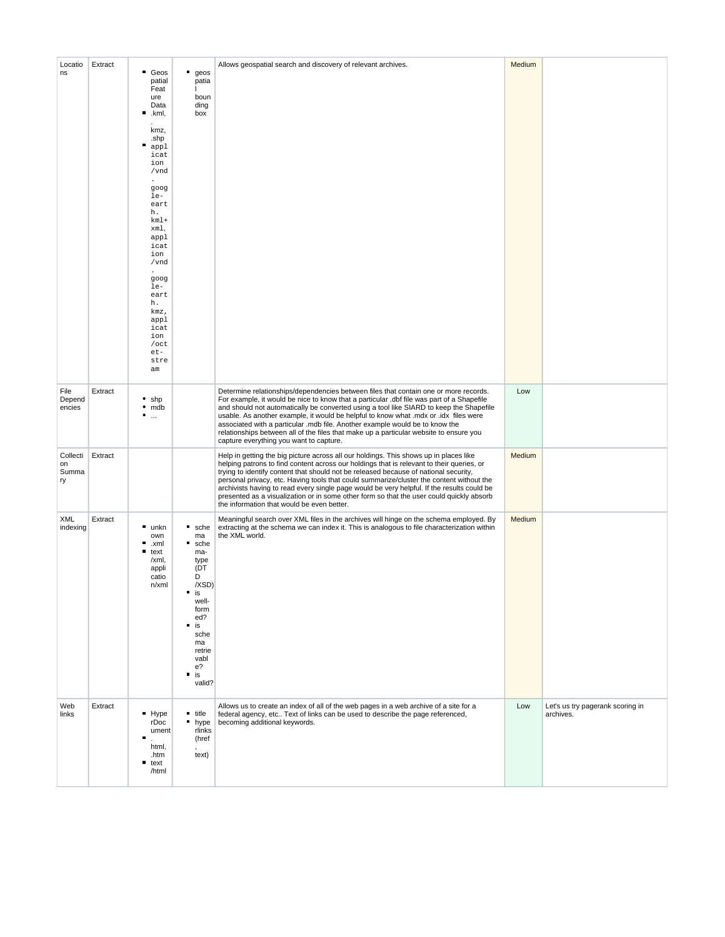| Locatio<br>ns                 | Extract | <b>Geos</b><br>patial<br>Feat<br>ure<br>Data<br>п<br>.kml,<br>kmz,<br>.shp<br>п<br>appl<br>icat<br>ion<br>/vnd<br>goog<br>le-<br>eart<br>h.<br>$km1+$<br>xml,<br>appl<br>icat<br>ion<br>/vnd<br>goog<br>le-<br>eart<br>h.<br>kmz,<br>appl<br>icat<br>ion<br>$/$ oct<br>$et-$<br>stre<br>am | $q$ eos<br>patia<br>boun<br>ding<br>box                                                                                                                                                          | Allows geospatial search and discovery of relevant archives.                                                                                                                                                                                                                                                                                                                                                                                                                                                                                                                                                   | Medium |                                               |
|-------------------------------|---------|--------------------------------------------------------------------------------------------------------------------------------------------------------------------------------------------------------------------------------------------------------------------------------------------|--------------------------------------------------------------------------------------------------------------------------------------------------------------------------------------------------|----------------------------------------------------------------------------------------------------------------------------------------------------------------------------------------------------------------------------------------------------------------------------------------------------------------------------------------------------------------------------------------------------------------------------------------------------------------------------------------------------------------------------------------------------------------------------------------------------------------|--------|-----------------------------------------------|
| File<br>Depend<br>encies      | Extract | $•$ shp<br>$·$ mdb<br>٠<br>$\cdots$                                                                                                                                                                                                                                                        |                                                                                                                                                                                                  | Determine relationships/dependencies between files that contain one or more records.<br>For example, it would be nice to know that a particular .dbf file was part of a Shapefile<br>and should not automatically be converted using a tool like SIARD to keep the Shapefile<br>usable. As another example, it would be helpful to know what .mdx or .idx files were<br>associated with a particular .mdb file. Another example would be to know the<br>relationships between all of the files that make up a particular website to ensure you<br>capture everything you want to capture.                      | Low    |                                               |
| Collecti<br>on<br>Summa<br>ry | Extract |                                                                                                                                                                                                                                                                                            |                                                                                                                                                                                                  | Help in getting the big picture across all our holdings. This shows up in places like<br>helping patrons to find content across our holdings that is relevant to their queries, or<br>trying to identify content that should not be released because of national security,<br>personal privacy, etc. Having tools that could summarize/cluster the content without the<br>archivists having to read every single page would be very helpful. If the results could be<br>presented as a visualization or in some other form so that the user could quickly absorb<br>the information that would be even better. | Medium |                                               |
| XML<br>indexing               | Extract | unkn<br>own<br>п<br>.xml<br>text<br>/xml,<br>appli<br>catio<br>$n$ /xml                                                                                                                                                                                                                    | ٠<br>sche<br>ma<br>٠<br>sche<br>ma-<br>type<br>(DT<br>D<br>/XSD)<br>$\blacksquare$ is<br>well-<br>form<br>ed?<br>$\blacksquare$<br>is<br>sche<br>ma<br>retrie<br>vabl<br>e?<br>п<br>is<br>valid? | Meaningful search over XML files in the archives will hinge on the schema employed. By<br>extracting at the schema we can index it. This is analogous to file characterization within<br>the XML world.                                                                                                                                                                                                                                                                                                                                                                                                        | Medium |                                               |
| Web<br>links                  | Extract | Hype<br>rDoc<br>ument<br>г<br>html,<br>.htm<br>$\blacksquare$ text<br>/html                                                                                                                                                                                                                | $\blacksquare$ title<br>n hype<br>rlinks<br>(href<br>text)                                                                                                                                       | Allows us to create an index of all of the web pages in a web archive of a site for a<br>federal agency, etc Text of links can be used to describe the page referenced,<br>becoming additional keywords.                                                                                                                                                                                                                                                                                                                                                                                                       | Low    | Let's us try pagerank scoring in<br>archives. |